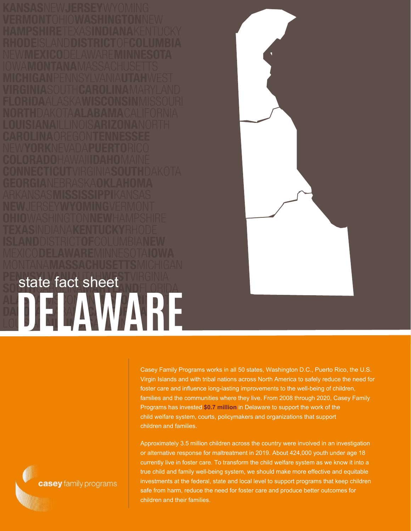**DELAWARE** state fact sheet



Casey Family Programs works in all 50 states, Washington D.C., Puerto Rico, the U.S. Virgin Islands and with tribal nations across North America to safely reduce the need for foster care and influence long-lasting improvements to the well-being of children, families and the communities where they live. From 2008 through 2020, Casey Family Programs has invested **\$0.7 million** in Delaware to support the work of the child welfare system, courts, policymakers and organizations that support children and families.

Approximately 3.5 million children across the country were involved in an investigation or alternative response for maltreatment in 2019. About 424,000 youth under age 18 currently live in foster care. To transform the child welfare system as we know it into a true child and family well-being system, we should make more effective and equitable investments at the federal, state and local level to support programs that keep children safe from harm, reduce the need for foster care and produce better outcomes for children and their families.

casey family programs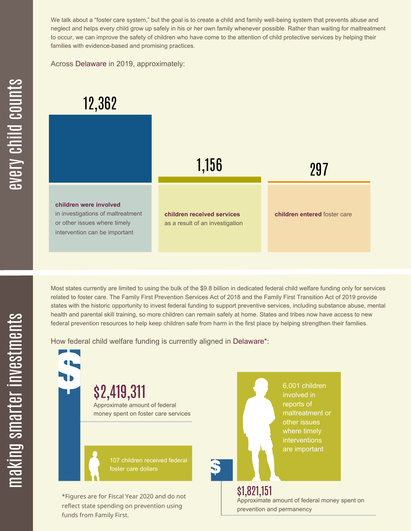We talk about a "foster care system," but the goal is to create a child and family well-being system that prevents abuse and neglect and helps every child grow up safely in his or her own family whenever possible. Rather than waiting for maltreatment to occur, we can improve the safety of children who have come to the attention of child protective services by helping their families with evidence-based and promising practices.

Across Delaware in 2019, approximately:



Most states currently are limited to using the bulk of the \$9.8 billion in dedicated federal child welfare funding only for services related to foster care. The Family First Prevention Services Act of 2018 and the Family First Transition Act of 2019 provide states with the historic opportunity to invest federal funding to support preventive services, including substance abuse, mental health and parental skill training, so more children can remain safely at home. States and tribes now have access to new federal prevention resources to help keep children safe from harm in the first place by helping strengthen their families.

How federal child welfare funding is currently aligned in Delaware\*:

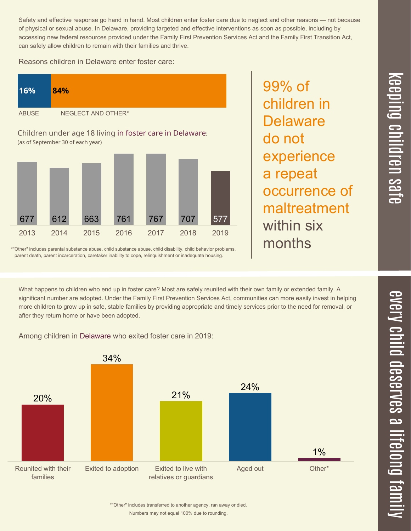Safety and effective response go hand in hand. Most children enter foster care due to neglect and other reasons — not because of physical or sexual abuse. In Delaware, providing targeted and effective interventions as soon as possible, including by accessing new federal resources provided under the Family First Prevention Services Act and the Family First Transition Act, can safely allow children to remain with their families and thrive.

Reasons children in Delaware enter foster care:



99% of children in **Delaware** do not experience a repeat occurrence of maltreatment within six months

 $\equiv$  $\overline{\mathbf{c}}$  $\overline{\phantom{0}}$  $\boldsymbol{\mathcal{O}}$ a

\*"Other" includes parental substance abuse, child substance abuse, child disability, child behavior problems, parent death, parent incarceration, caretaker inability to cope, relinquishment or inadequate housing.

What happens to children who end up in foster care? Most are safely reunited with their own family or extended family. A significant number are adopted. Under the Family First Prevention Services Act, communities can more easily invest in helping more children to grow up in safe, stable families by providing appropriate and timely services prior to the need for removal, or after they return home or have been adopted.

Among children in Delaware who exited foster care in 2019:



 $\boldsymbol{\mathcal{C}}$  $\overline{\mathbf{C}}$  $\overline{\phantom{a}}$  $\overline{\mathbf{C}}$  $\mathcal{C}$ <u>م</u>

 $\equiv$ 

el<br>O  $\overline{\phantom{0}}$  $\blacksquare$ 

t<br>B

mily

 $\overline{\phantom{1}}$  $\overline{\mathbf \Theta}$  $\overline{\mathbf{C}}$ 

<u>pin</u>  $\overline{\mathbf{C}}$  $\overline{\mathbf{C}}$ 

Numbers may not equal 100% due to rounding. \*"Other" includes transferred to another agency, ran away or died.